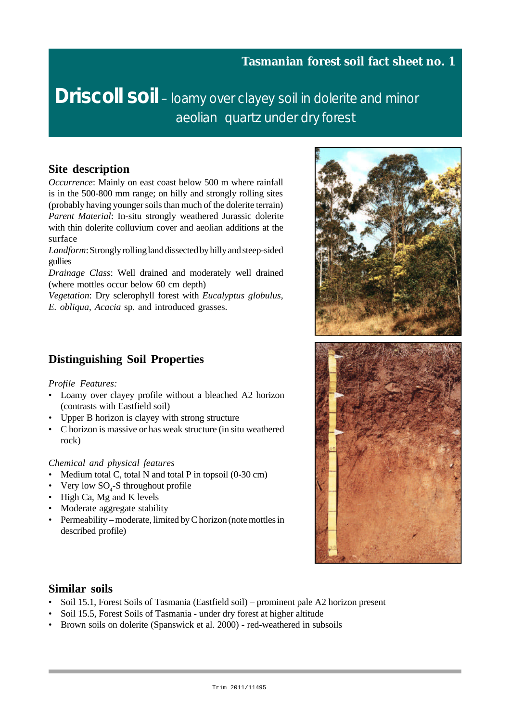**Driscoll soil** – loamy over clayey soil in dolerite and minor aeolian quartz under dry forest

#### **Site description**

*Occurrence*: Mainly on east coast below 500 m where rainfall is in the 500-800 mm range; on hilly and strongly rolling sites (probably having younger soils than much of the dolerite terrain) *Parent Material*: In-situ strongly weathered Jurassic dolerite with thin dolerite colluvium cover and aeolian additions at the surface

*Landform*: Strongly rolling land dissected by hilly and steep-sided gullies

*Drainage Class*: Well drained and moderately well drained (where mottles occur below 60 cm depth)

*Vegetation*: Dry sclerophyll forest with *Eucalyptus globulus, E. obliqua*, *Acacia* sp. and introduced grasses.

## **Distinguishing Soil Properties**

#### *Profile Features:*

- Loamy over clayey profile without a bleached A2 horizon (contrasts with Eastfield soil)
- Upper B horizon is clayey with strong structure
- C horizon is massive or has weak structure (in situ weathered rock)

#### *Chemical and physical features*

- Medium total C, total N and total P in topsoil (0-30 cm)
- Very low  $SO_4$ -S throughout profile
- High Ca, Mg and K levels
- Moderate aggregate stability
- Permeability moderate, limited by C horizon (note mottles in described profile)



#### **Similar soils**

- Soil 15.1, Forest Soils of Tasmania (Eastfield soil) prominent pale A2 horizon present
- Soil 15.5, Forest Soils of Tasmania under dry forest at higher altitude
- Brown soils on dolerite (Spanswick et al. 2000) red-weathered in subsoils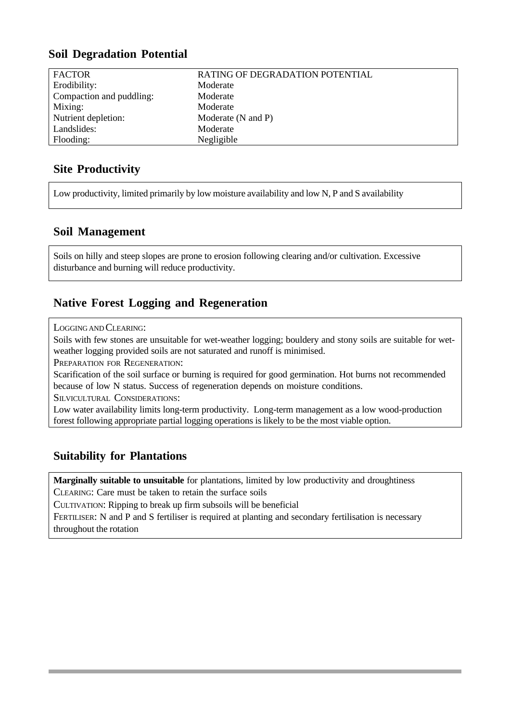## **Soil Degradation Potential**

| <b>FACTOR</b>            | RATING OF DEGRADATION POTENTIAL |
|--------------------------|---------------------------------|
| Erodibility:             | Moderate                        |
| Compaction and puddling: | Moderate                        |
| Mixing:                  | Moderate                        |
| Nutrient depletion:      | Moderate (N and P)              |
| Landslides:              | Moderate                        |
| Flooding:                | Negligible                      |
|                          |                                 |

## **Site Productivity**

Low productivity, limited primarily by low moisture availability and low N, P and S availability

#### **Soil Management**

Soils on hilly and steep slopes are prone to erosion following clearing and/or cultivation. Excessive disturbance and burning will reduce productivity.

## **Native Forest Logging and Regeneration**

LOGGING AND CLEARING:

Soils with few stones are unsuitable for wet-weather logging; bouldery and stony soils are suitable for wetweather logging provided soils are not saturated and runoff is minimised.

PREPARATION FOR REGENERATION:

Scarification of the soil surface or burning is required for good germination. Hot burns not recommended because of low N status. Success of regeneration depends on moisture conditions.

SILVICULTURAL CONSIDERATIONS:

Low water availability limits long-term productivity. Long-term management as a low wood-production forest following appropriate partial logging operations is likely to be the most viable option.

### **Suitability for Plantations**

**Marginally suitable to unsuitable** for plantations, limited by low productivity and droughtiness CLEARING: Care must be taken to retain the surface soils

CULTIVATION: Ripping to break up firm subsoils will be beneficial

FERTILISER: N and P and S fertiliser is required at planting and secondary fertilisation is necessary throughout the rotation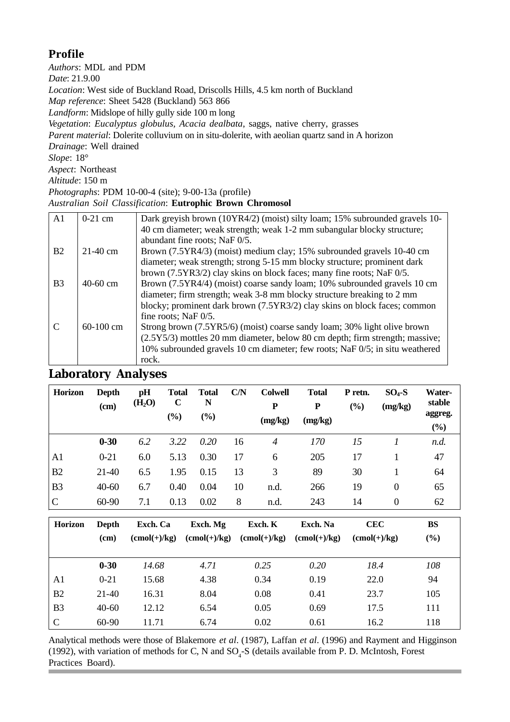# **Profile**

*Authors*: MDL and PDM *Date*: 21.9.00 *Location*: West side of Buckland Road, Driscolls Hills, 4.5 km north of Buckland *Map reference*: Sheet 5428 (Buckland) 563 866 *Landform*: Midslope of hilly gully side 100 m long *Vegetation*: *Eucalyptus globulus, Acacia dealbata*, saggs, native cherry, grasses *Parent material*: Dolerite colluvium on in situ-dolerite, with aeolian quartz sand in A horizon *Drainage*: Well drained *Slope*: 18° *Aspect*: Northeast *Altitude*: 150 m *Photographs*: PDM 10-00-4 (site); 9-00-13a (profile)

#### *Australian Soil Classification*: **Eutrophic Brown Chromosol**

| A <sub>1</sub> | $0-21$ cm  | Dark greyish brown (10YR4/2) (moist) silty loam; 15% subrounded gravels 10-  |
|----------------|------------|------------------------------------------------------------------------------|
|                |            | 40 cm diameter; weak strength; weak 1-2 mm subangular blocky structure;      |
|                |            | abundant fine roots; NaF 0/5.                                                |
| B <sub>2</sub> | $21-40$ cm | Brown (7.5YR4/3) (moist) medium clay; 15% subrounded gravels 10-40 cm        |
|                |            | diameter; weak strength; strong 5-15 mm blocky structure; prominent dark     |
|                |            | brown (7.5YR3/2) clay skins on block faces; many fine roots; NaF 0/5.        |
| B <sub>3</sub> | $40-60$ cm | Brown (7.5YR4/4) (moist) coarse sandy loam; 10% subrounded gravels 10 cm     |
|                |            | diameter; firm strength; weak 3-8 mm blocky structure breaking to 2 mm       |
|                |            | blocky; prominent dark brown (7.5YR3/2) clay skins on block faces; common    |
|                |            | fine roots; NaF 0/5.                                                         |
|                | 60-100 cm  | Strong brown (7.5YR5/6) (moist) coarse sandy loam; 30% light olive brown     |
|                |            | (2.5Y5/3) mottles 20 mm diameter, below 80 cm depth; firm strength; massive; |
|                |            | 10% subrounded gravels 10 cm diameter; few roots; NaF 0/5; in situ weathered |
|                |            | rock.                                                                        |

# **Laboratory Analyses**

| <b>Horizon</b> | <b>Depth</b><br>(cm) | pH<br>(H <sub>2</sub> O) | <b>Total</b><br>$\mathbf C$<br>(%) | <b>Total</b><br>N<br>(%) | C/N | <b>Colwell</b><br>P<br>(mg/kg) | <b>Total</b><br>$\mathbf P$<br>(mg/kg) | P retn.<br>(%) | $SO4-S$<br>(mg/kg) | Water-<br>stable<br>aggreg.<br>$(\%)$ |
|----------------|----------------------|--------------------------|------------------------------------|--------------------------|-----|--------------------------------|----------------------------------------|----------------|--------------------|---------------------------------------|
|                | $0 - 30$             | 6.2                      | 3.22                               | 0.20                     | 16  | 4                              | 170                                    | 15             |                    | n.d.                                  |
| A1             | $0 - 21$             | 6.0                      | 5.13                               | 0.30                     | 17  | 6                              | 205                                    | 17             |                    | 47                                    |
| B2             | 21-40                | 6.5                      | 1.95                               | 0.15                     | 13  | 3                              | 89                                     | 30             |                    | 64                                    |
| B <sub>3</sub> | $40 - 60$            | 6.7                      | 0.40                               | 0.04                     | 10  | n.d.                           | 266                                    | 19             | $\theta$           | 65                                    |
| $\mathbf C$    | 60-90                | 7.1                      | 0.13                               | 0.02                     | 8   | n.d.                           | 243                                    | 14             | $\theta$           | 62                                    |

| <b>Horizon</b> | Depth    | Exch. Ca                     | Exch. Mg       | Exch. K                      | Exch. Na                     | <b>CEC</b>                   | BS     |
|----------------|----------|------------------------------|----------------|------------------------------|------------------------------|------------------------------|--------|
|                | (cm)     | $(\text{cmol}(+)/\text{kg})$ | $(cmol(+)/kg)$ | $(\text{cmol}(+)/\text{kg})$ | $(\text{cmol}(+)/\text{kg})$ | $(\text{cmol}(+)/\text{kg})$ | $(\%)$ |
|                |          |                              |                |                              |                              |                              |        |
|                | $0 - 30$ | 14.68                        | 4.71           | 0.25                         | 0.20                         | 18.4                         | 108    |
| A1             | $0 - 21$ | 15.68                        | 4.38           | 0.34                         | 0.19                         | 22.0                         | 94     |
| B <sub>2</sub> | $21-40$  | 16.31                        | 8.04           | 0.08                         | 0.41                         | 23.7                         | 105    |
| B <sub>3</sub> | $40-60$  | 12.12                        | 6.54           | 0.05                         | 0.69                         | 17.5                         | 111    |
| $\mathcal{C}$  | 60-90    | 11.71                        | 6.74           | 0.02                         | 0.61                         | 16.2                         | 118    |

Analytical methods were those of Blakemore *et al*. (1987), Laffan *et al*. (1996) and Rayment and Higginson (1992), with variation of methods for C, N and  $SO_4$ -S (details available from P. D. McIntosh, Forest Practices Board).